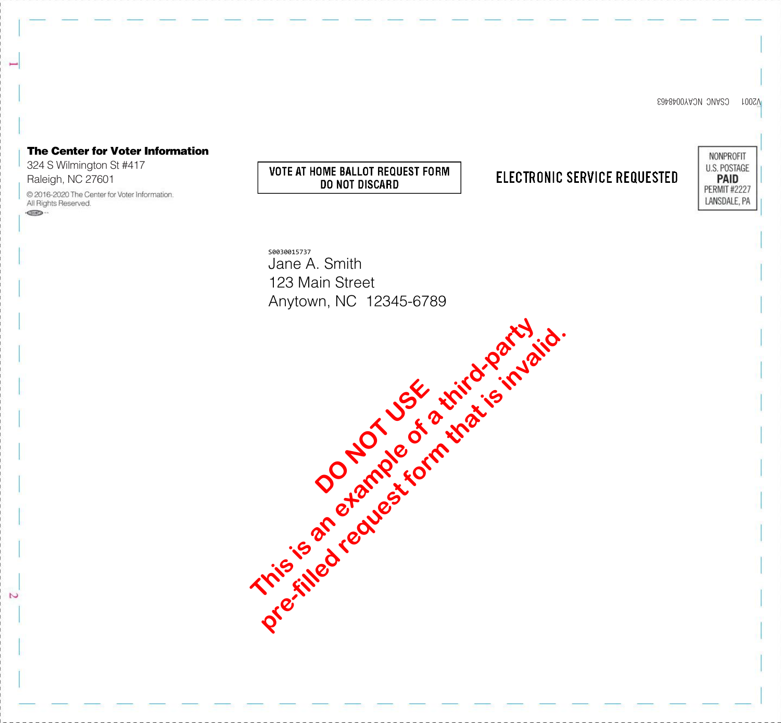V2001 CSANC NCAY0048463

## The Center for Voter Information NONPROFIT 324 S Wilmington St #417 U.S. POSTAGE **VOTE AT HOME BALLOT REQUEST FORM ELECTRONIC SERVICE REQUESTED PAID** DO NOT DISCARD **PERMIT #2227** © 2016-2020 The Center for Voter Information. LANSDALE, PA S0030015737 Jane A. Smith 123 Main Street Anytown, NC 12345-6789 This is a code of a third-party pre-filled request form that is invalid. **DO NOT USE**

Raleigh, NC 27601

All Rights Reserved.  $CD -$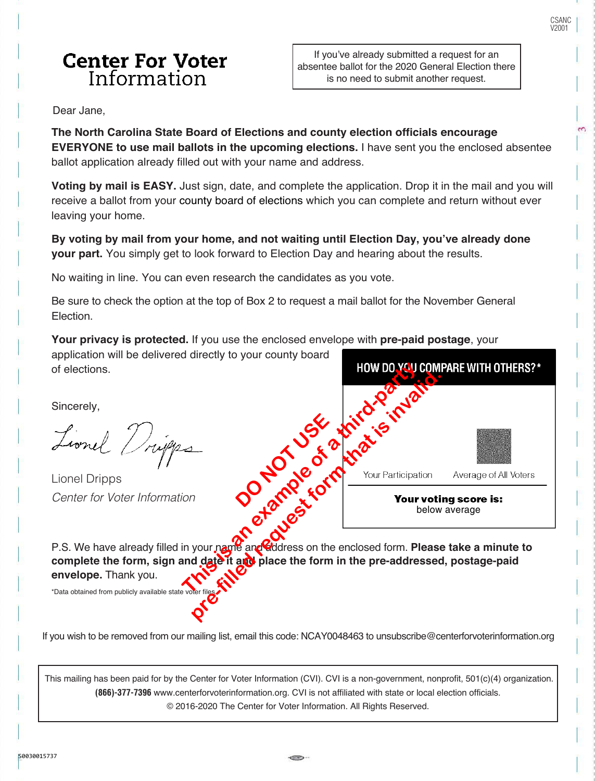$\tilde{c}$ 

### **Center For Voter** Information

If you've already submitted a request for an absentee ballot for the 2020 General Election there is no need to submit another request.

Dear Jane,

**The North Carolina State Board of Elections and county election officials encourage EVERYONE to use mail ballots in the upcoming elections.** I have sent you the enclosed absentee ballot application already filled out with your name and address.

**Voting by mail is EASY.** Just sign, date, and complete the application. Drop it in the mail and you will receive a ballot from your county board of elections which you can complete and return without ever leaving your home.

**By voting by mail from your home, and not waiting until Election Day, you've already done your part.** You simply get to look forward to Election Day and hearing about the results.

No waiting in line. You can even research the candidates as you vote.

Be sure to check the option at the top of Box 2 to request a mail ballot for the November General Election.

**Your privacy is protected.** If you use the enclosed envelope with **pre-paid postage**, your

application will be delivered directly to your county board of elections.

Sincerely,

Lionel Dripps Center for Voter Information



P.S. We have already filled in your name and didress on the enclosed form. **Please take a minute to** complete the form, sign and date it and place the form in the pre-addressed, postage-paid **envelope.** Thank you.

\*Data obtained from publicly available state v

If you wish to be removed from our mailing list, email this code: NCAY0048463 to unsubscribe@centerforvoterinformation.org

 This mailing has been paid for by the Center for Voter Information (CVI). CVI is a non-government, nonprofit, 501(c)(4) organization. **(866)-377-7396** www.centerforvoterinformation.org. CVI is not affiliated with state or local election officials. © 2016-2020 The Center for Voter Information. All Rights Reserved.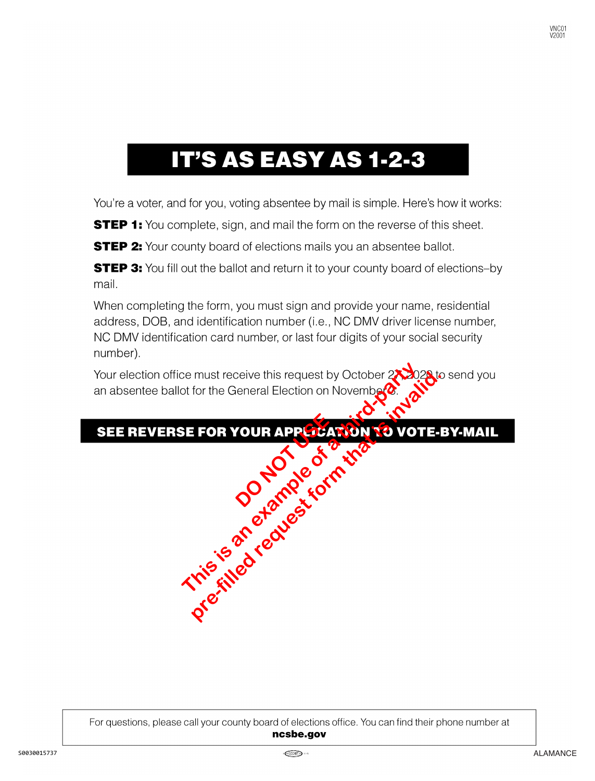# **IT'S AS EASY AS 1-2-3**

You're a voter, and for you, voting absentee by mail is simple. Here's how it works:

**STEP 1:** You complete, sign, and mail the form on the reverse of this sheet.

**STEP 2:** Your county board of elections mails you an absentee ballot.

**STEP 3:** You fill out the ballot and return it to your county board of elections-by mail.

When completing the form, you must sign and provide your name, residential address, DOB, and identification number (i.e., NC DMV driver license number, NC DMV identification card number, or last four digits of your social security number).

This is a this request by October 2x30; or tor the General Election on Novembers and the Strategy of the World Washington and World Washington and World Washington and World Washington and World Washington and World Washin pre-filled receiver this request by October 213028 to for the General Election on November 213028 to form the Context of the Context of the Context of the Context of the Context of the Context of the Context of the Context

# **DO NOT USE AND**

For questions, please call your county board of elections office. You can find their phone number at ncsbe.gov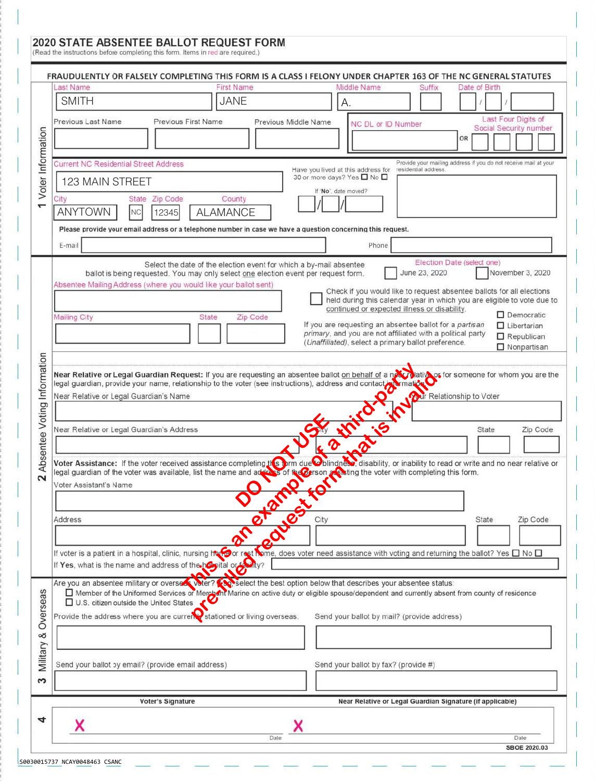#### 2020 STATE ABSENTEE BALLOT REQUEST FORM

(Read the instructions before completing this form. Items in red are required.)

|                                       | FRAUDULENTLY OR FALSELY COMPLETING THIS FORM IS A CLASS I FELONY UNDER CHAPTER 163 OF THE NC GENERAL STATUTES                                                                                                                  |
|---------------------------------------|--------------------------------------------------------------------------------------------------------------------------------------------------------------------------------------------------------------------------------|
| Voter Information                     | <b>First Name</b><br>Middle Name<br>Last Name<br>Suffix<br>Date of Birth                                                                                                                                                       |
|                                       | <b>SMITH</b><br><b>JANE</b><br>А.                                                                                                                                                                                              |
|                                       | Last Four Digits of<br>Previous First Name<br>Previous Last Name<br>Previous Middle Name<br>NC DL or ID Number<br>Social Security number                                                                                       |
|                                       | OR                                                                                                                                                                                                                             |
|                                       | Provide your mailing address if you do not receive mail at your<br><b>Current NC Residential Street Address</b><br>Have you lived at this address for<br>residential address.                                                  |
|                                       | 30 or more days? Yes □ No □<br>123 MAIN STREET<br>If "No", date moved?                                                                                                                                                         |
|                                       | State Zip Code<br>City<br>County                                                                                                                                                                                               |
|                                       | <b>ANYTOWN</b><br><b>ALAMANCE</b><br>NC<br>12345                                                                                                                                                                               |
|                                       | Please provide your email address or a telephone number in case we have a question concerning this request.                                                                                                                    |
|                                       | E-mail<br>Phone                                                                                                                                                                                                                |
| Absentee Voting Information<br>$\sim$ | Election Date (select one)<br>Select the date of the election event for which a by-mail absentee<br>June 23, 2020<br>November 3, 2020<br>ballot is being requested. You may only select one election event per request form.   |
|                                       | Absentee Mailing Address (where you would like your ballot sent)<br>Check if you would like to request absentee ballots for all elections                                                                                      |
|                                       | held during this calendar year in which you are eligible to vote due to<br>continued or expected illness or disability.                                                                                                        |
|                                       | $\square$ Democratic<br><b>Mailing City</b><br>Zip Code<br>State<br>If you are requesting an absentee ballot for a partisan<br>$\Box$ Libertarian                                                                              |
|                                       | primary, and you are not affiliated with a political party<br>Republican<br>(Unaffiliated), select a primary ballot preference.                                                                                                |
|                                       | □ Nonpartisan                                                                                                                                                                                                                  |
|                                       | Near Relative or Legal Guardian Request: If you are requesting an absentee ballot on behalf of a near plative or for someone for whom you are the<br>Richard Relationship to Voter                                             |
|                                       | legal guardian, provide your name, relationship to the voter (see instructions), address and contact promation<br>Near Relative or Legal Guardian's Name                                                                       |
|                                       |                                                                                                                                                                                                                                |
|                                       | Near Relative or Legal Guardian's Address<br>Zip Code                                                                                                                                                                          |
|                                       |                                                                                                                                                                                                                                |
|                                       | Voter Assistance: If the voter received assistance completing the Colindiane Divindries disability, or inability to read or write and no near relative or legal guardian of the voter was available, list the name and addesse |
|                                       | Voter Assistant's Name                                                                                                                                                                                                         |
|                                       | Teachest                                                                                                                                                                                                                       |
|                                       | City<br>Zip Code<br>Address<br>State                                                                                                                                                                                           |
|                                       |                                                                                                                                                                                                                                |
|                                       | If voter is a patient in a hospital, clinic, nursing half for rest Nome, does voter need assistance with voting and returning the ballot? Yes $\square$ No $\square$                                                           |
|                                       | If Yes, what is the name and address of the hospital or to thy?                                                                                                                                                                |
|                                       | Are you an absentee military or oversex voter? Conselect the best option below that describes your absentee status:                                                                                                            |
| Overseas<br>œ<br>Military             | Member of the Uniformed Services or Merchant Marine on active duty or eligible spouse/dependent and currently absent from county of residence<br>U.S. citizen outside the United States                                        |
|                                       | Provide the address where you are currer stationed or living overseas.<br>Send your ballot by mail? (provide address)                                                                                                          |
|                                       |                                                                                                                                                                                                                                |
|                                       |                                                                                                                                                                                                                                |
|                                       | Send your ballot by email? (provide email address)<br>Send your ballot by fax? (provide #)                                                                                                                                     |
| S                                     |                                                                                                                                                                                                                                |
|                                       | Voter's Signature<br>Near Relative or Legal Guardian Signature (if applicable)                                                                                                                                                 |
|                                       |                                                                                                                                                                                                                                |
|                                       | Date<br>Date<br><b>SBOE 2020.03</b>                                                                                                                                                                                            |
|                                       |                                                                                                                                                                                                                                |